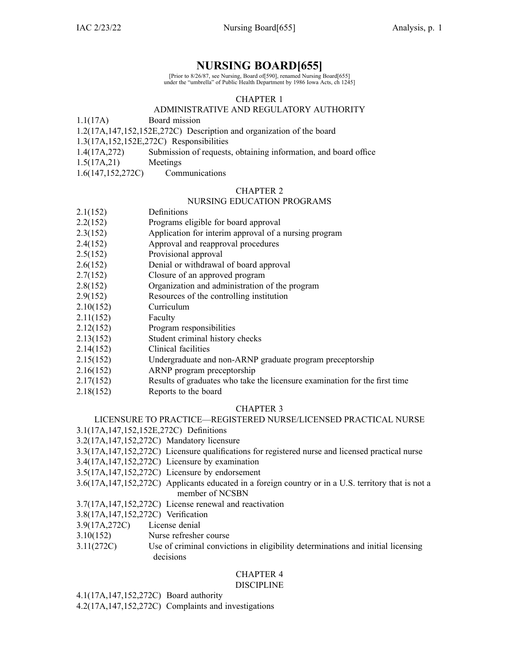## **NURSING BOARD[655]**

[Prior to 8/26/87, see Nursing, Board of[590], renamed Nursing Board[655] under the "umbrella" of Public Health Department by 1986 Iowa Acts, ch 1245]

## CHAPTER 1

## ADMINISTRATIVE AND REGULATORY AUTHORITY

1.1(17A) Board mission

1.2(17A,147,152,152E,272C) Description and organization of the board

1.3(17A,152,152E,272C) Responsibilities

- 1.4(17A,272) Submission of requests, obtaining information, and board office
- 1.5(17A,21) Meetings
- 1.6(147,152,272C) Communications

## CHAPTER 2

## NURSING EDUCATION PROGRAMS

| 2.1(152) | Definitions |
|----------|-------------|
|----------|-------------|

- 2.2(152) Programs eligible for board approval
- 2.3(152) Application for interim approval of <sup>a</sup> nursing program
- 2.4(152) Approval and reapproval procedures
- 2.5(152) Provisional approval
- 2.6(152) Denial or withdrawal of board approval
- 2.7(152) Closure of an approved program
- 2.8(152) Organization and administration of the program
- 2.9(152) Resources of the controlling institution
- 2.10(152) Curriculum
- 2.11(152) Faculty
- 2.12(152) Program responsibilities
- 2.13(152) Student criminal history checks
- 2.14(152) Clinical facilities
- 2.15(152) Undergraduate and non-ARNP graduate program preceptorship
- 2.16(152) ARNP program preceptorship
- 2.17(152) Results of graduates who take the licensure examination for the first time
- 2.18(152) Reports to the board

## CHAPTER 3

## LICENSURE TO PRACTICE—REGISTERED NURSE/LICENSED PRACTICAL NURSE

3.1(17A,147,152,152E,272C) Definitions

- 3.2(17A,147,152,272C) Mandatory licensure
- 3.3(17A,147,152,272C) Licensure qualifications for registered nurse and licensed practical nurse
- 3.4(17A,147,152,272C) Licensure by examination
- 3.5(17A,147,152,272C) Licensure by endorsement
- 3.6(17A,147,152,272C) Applicants educated in <sup>a</sup> foreign country or in <sup>a</sup> U.S. territory that is not <sup>a</sup> member of NCSBN

3.7(17A,147,152,272C) License renewal and reactivation

- 3.8(17A,147,152,272C) Verification
- 3.9(17A,272C) License denial
- 3.10(152) Nurse refresher course
- 3.11(272C) Use of criminal convictions in eligibility determinations and initial licensing decisions

#### CHAPTER 4 DISCIPLINE

4.1(17A,147,152,272C) Board authority

4.2(17A,147,152,272C) Complaints and investigations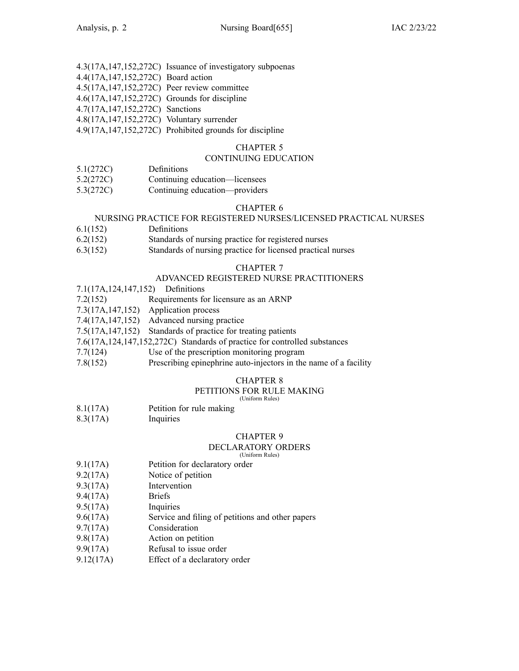|                                                 | 4.3(17A,147,152,272C) Issuance of investigatory subpoenas |
|-------------------------------------------------|-----------------------------------------------------------|
| 4.4(17A,147,152,272C) Board action              |                                                           |
| 4.5(17A,147,152,272C) Peer review committee     |                                                           |
| 4.6(17A, 147, 152, 272C) Grounds for discipline |                                                           |
| 4.7(17A, 147, 152, 272C) Sanctions              |                                                           |
| 4.8(17A, 147, 152, 272C) Voluntary surrender    |                                                           |
|                                                 | 4.9(17A,147,152,272C) Prohibited grounds for discipline   |

#### CHAPTER 5

#### CONTINUING EDUCATION

- 5.1(272C) Definitions
- 5.2(272C) Continuing education—licensees
- 5.3(272C) Continuing education—providers

#### CHAPTER 6

#### NURSING PRACTICE FOR REGISTERED NURSES/LICENSED PRACTICAL NURSES

- 6.1(152) Definitions
- 6.2(152) Standards of nursing practice for registered nurses
- 6.3(152) Standards of nursing practice for licensed practical nurses

## CHAPTER 7

#### ADVANCED REGISTERED NURSE PRACTITIONERS

- 7.1(17A,124,147,152) Definitions
- 7.2(152) Requirements for licensure as an ARNP
- 7.3(17A,147,152) Application process
- 7.4(17A,147,152) Advanced nursing practice
- 7.5(17A,147,152) Standards of practice for treating patients
- 7.6(17A,124,147,152,272C) Standards of practice for controlled substances
- 7.7(124) Use of the prescription monitoring program
- 7.8(152) Prescribing epinephrine auto-injectors in the name of <sup>a</sup> facility

#### CHAPTER 8

## PETITIONS FOR RULE MAKING

(Uniform Rules)

- 8.1(17A) Petition for rule making
- 8.3(17A) Inquiries

## CHAPTER 9

## DECLARATORY ORDERS

(Uniform Rules)

- 9.1(17A) Petition for declaratory order
- 9.2(17A) Notice of petition
- 9.3(17A) Intervention
- 9.4(17A) Briefs
- 9.5(17A) Inquiries
- 9.6(17A) Service and filing of petitions and other papers
- 9.7(17A) Consideration
- 9.8(17A) Action on petition
- 9.9(17A) Refusal to issue order
- 9.12(17A) Effect of <sup>a</sup> declaratory order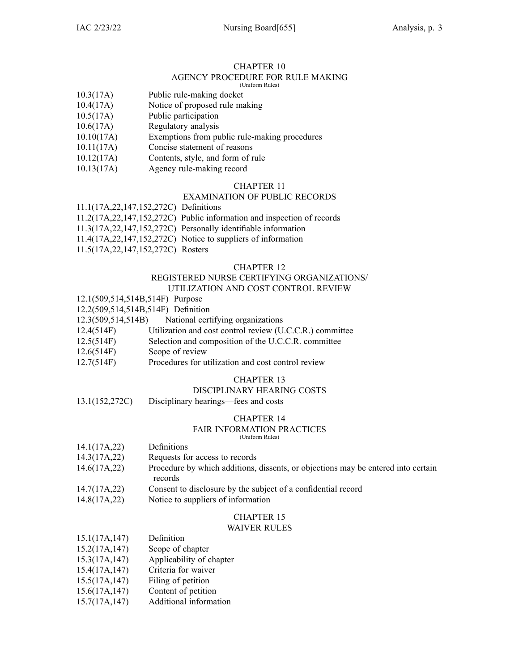## CHAPTER 10

#### AGENCY PROCEDURE FOR RULE MAKING (Uniform Rules)

- 
- 10.3(17A) Public rule-making docket
- 10.4(17A) Notice of proposed rule making
- 10.5(17A) Public participation
- 10.6(17A) Regulatory analysis
- 10.10(17A) Exemptions from public rule-making procedures
- 10.11(17A) Concise statement of reasons
- 10.12(17A) Contents, style, and form of rule
- 10.13(17A) Agency rule-making record

## CHAPTER 11

## EXAMINATION OF PUBLIC RECORDS

11.1(17A,22,147,152,272C) Definitions

- 11.2(17A,22,147,152,272C) Public information and inspection of records
- 11.3(17A,22,147,152,272C) Personally identifiable information
- 11.4(17A,22,147,152,272C) Notice to suppliers of information
- 11.5(17A,22,147,152,272C) Rosters

#### CHAPTER 12

#### REGISTERED NURSE CERTIFYING ORGANIZATIONS/ UTILIZATION AND COST CONTROL REVIEW

- 12.1(509,514,514B,514F) Purpose
- 12.2(509,514,514B,514F) Definition
- 12.3(509,514,514B) National certifying organizations
- 12.4(514F) Utilization and cost control review (U.C.C.R.) committee
- 12.5(514F) Selection and composition of the U.C.C.R. committee
- 12.6(514F) Scope of review
- 12.7(514F) Procedures for utilization and cost control review

## CHAPTER 13

## DISCIPLINARY HEARING COSTS

13.1(152,272C) Disciplinary hearings—fees and costs

#### CHAPTER 14

#### FAIR INFORMATION PRACTICES

(Uniform Rules)

- 14.1(17A,22) Definitions
- 14.3(17A,22) Requests for access to records
- 14.6(17A,22) Procedure by which additions, dissents, or objections may be entered into certain records
- 14.7(17A,22) Consent to disclosure by the subject of <sup>a</sup> confidential record
- 14.8(17A,22) Notice to suppliers of information

## CHAPTER 15

## WAIVER RULES

| 15.1(17A, 147)        | Definition                      |
|-----------------------|---------------------------------|
| 15.2(17A, 147)        | Scope of chapter                |
| 15.3(17A, 147)        | Applicability of chapter        |
| 15.4(17A, 147)        | Criteria for waiver             |
| 15.5(17A, 147)        | Filing of petition              |
| $1.5$ $(1.7)$ $(1.7)$ | $\cap$ $\ldots$ $\cap$ $\ldots$ |

- 15.6(17A,147) Content of petition
- 15.7(17A,147) Additional information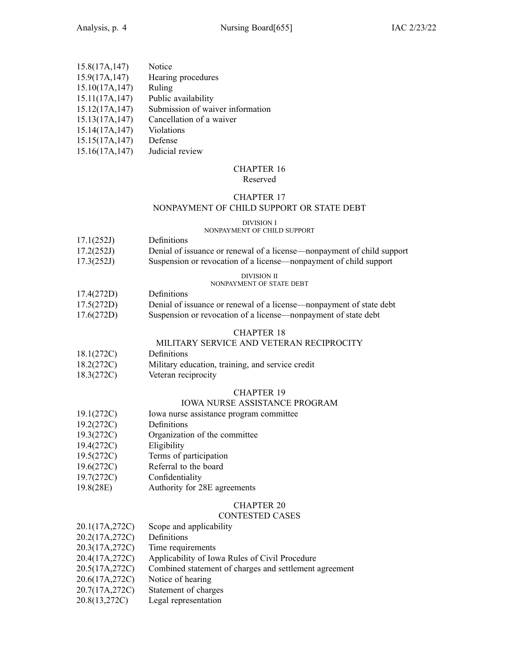| 15.8(17A, 147)  | Notice                           |
|-----------------|----------------------------------|
| 15.9(17A, 147)  | Hearing procedures               |
| 15.10(17A, 147) | Ruling                           |
| 15.11(17A, 147) | Public availability              |
| 15.12(17A, 147) | Submission of waiver information |
| 15.13(17A, 147) | Cancellation of a waiver         |
| 15.14(17A, 147) | Violations                       |
| 15.15(17A, 147) | Defense                          |
| 15.16(17A, 147) | Judicial review                  |

# CHAPTER 16

## Reserved

## CHAPTER 17

## NONPAYMENT OF CHILD SUPPORT OR STATE DEBT

## DIVISION I

## NONPAYMENT OF CHILD SUPPORT

| 17.1(252J) | <b>Definitions</b>                                  |
|------------|-----------------------------------------------------|
| 17.2(252)  | Denial of issuance or repeated of a license nonpaym |

17.2(252J) Denial of issuance or renewal of <sup>a</sup> license—nonpayment of child suppor<sup>t</sup> 17.3(252J) Suspension or revocation of <sup>a</sup> license—nonpayment of child suppor<sup>t</sup>

#### DIVISION II NONPAYMENT OF STATE DEBT

- 17.4(272D) Definitions
- 17.5(272D) Denial of issuance or renewal of <sup>a</sup> license—nonpayment of state debt 17.6(272D) Suspension or revocation of <sup>a</sup> license—nonpayment of state debt

## CHAPTER 18

## MILITARY SERVICE AND VETERAN RECIPROCITY

- 18.1(272C) Definitions
- 18.2(272C) Military education, training, and service credit
- 18.3(272C) Veteran reciprocity

## CHAPTER 19

## IOWA NURSE ASSISTANCE PROGRAM

- 19.1(272C) Iowa nurse assistance program committee
- 19.2(272C) Definitions
- 19.3(272C) Organization of the committee
- 19.4(272C) Eligibility
- 19.5(272C) Terms of participation
- 19.6(272C) Referral to the board
- 19.7(272C) Confidentiality
- 19.8(28E) Authority for 28E agreements

## CHAPTER 20

## CONTESTED CASES

| 20.1(17A,272C) | Scope and applicability                                |
|----------------|--------------------------------------------------------|
| 20.2(17A,272C) | Definitions                                            |
| 20.3(17A,272C) | Time requirements                                      |
| 20.4(17A,272C) | Applicability of Iowa Rules of Civil Procedure         |
| 20.5(17A,272C) | Combined statement of charges and settlement agreement |

- 20.6(17A,272C) Notice of hearing
- 20.7(17A,272C) Statement of charges
- 20.8(13,272C) Legal representation